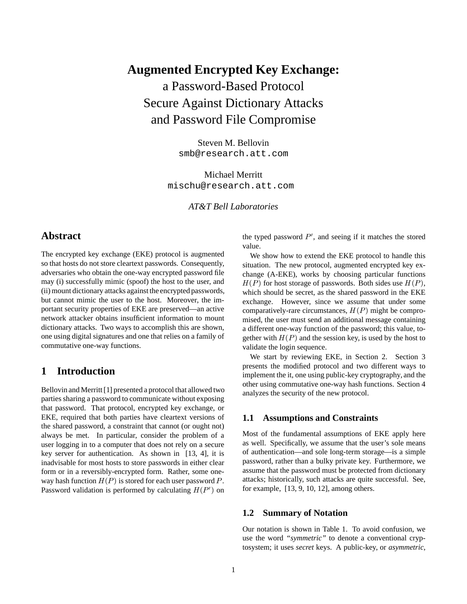# **Augmented Encrypted Key Exchange:** a Password-Based Protocol Secure Against Dictionary Attacks and Password File Compromise

Steven M. Bellovin smb@research.att.com

Michael Merritt mischu@research.att.com

*AT&T Bell Laboratories*

# **Abstract**

The encrypted key exchange (EKE) protocol is augmented so that hosts do not store cleartext passwords. Consequently, adversaries who obtain the one-way encrypted password file may (i) successfully mimic (spoof) the host to the user, and (ii) mount dictionary attacks against the encrypted passwords, but cannot mimic the user to the host. Moreover, the important security properties of EKE are preserved—an active network attacker obtains insufficient information to mount dictionary attacks. Two ways to accomplish this are shown, one using digital signatures and one that relies on a family of commutative one-way functions.

# **1 Introduction**

Bellovin and Merritt [1] presented a protocol that allowed two parties sharing a password to communicate without exposing that password. That protocol, encrypted key exchange, or EKE, required that both parties have cleartext versions of the shared password, a constraint that cannot (or ought not) always be met. In particular, consider the problem of a user logging in to a computer that does not rely on a secure key server for authentication. As shown in [13, 4], it is inadvisable for most hosts to store passwords in either clear form or in a reversibly-encrypted form. Rather, some oneway hash function  $H(P)$  is stored for each user password P.  $\qquad$  attacks Password validation is performed by calculating  $H(P')$  on

the typed password  $P'$ , and seeing if it matches the stored value.

We show how to extend the EKE protocol to handle this situation. The new protocol, augmented encrypted key exchange (A-EKE), works by choosing particular functions  $H(P)$  for host storage of passwords. Both sides use  $H(P)$ , which should be secret, as the shared password in the EKE exchange. However, since we assume that under some comparatively-rare circumstances,  $H(P)$  might be compromised, the user must send an additional message containing a different one-way function of the password; this value, together with  $H(P)$  and the session key, is used by the host to validate the login sequence.

We start by reviewing EKE, in Section 2. Section 3 presents the modified protocol and two different ways to implement the it, one using public-key cryptography, and the other using commutative one-way hash functions. Section 4 analyzes the security of the new protocol.

## **1.1 Assumptions and Constraints**

Most of the fundamental assumptions of EKE apply here as well. Specifically, we assume that the user's sole means of authentication—and sole long-term storage—is a simple password, rather than a bulky private key. Furthermore, we assume that the password must be protected from dictionary attacks; historically, such attacks are quite successful. See, for example, [13, 9, 10, 12], among others.

#### **1.2 Summary of Notation**

Our notation is shown in Table 1. To avoid confusion, we use the word *"symmetric"* to denote a conventional cryptosystem; it uses *secret* keys. A public-key, or *asymmetric*,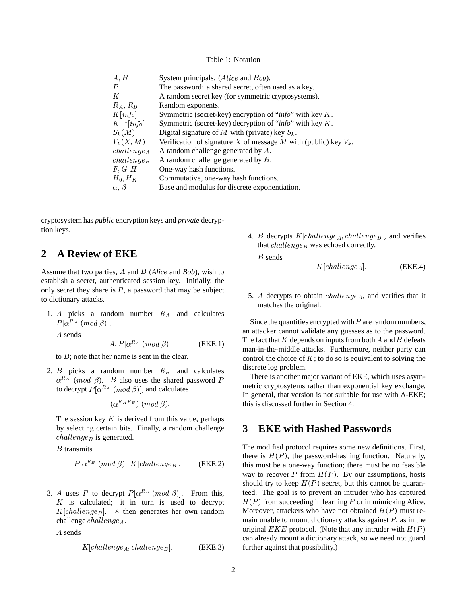#### Table 1: Notation

| System principals. (Alice and Bob).                                 |
|---------------------------------------------------------------------|
| The password: a shared secret, often used as a key.                 |
| A random secret key (for symmetric cryptosystems).                  |
| Random exponents.                                                   |
| Symmetric (secret-key) encryption of " <i>info</i> " with key $K$ . |
| Symmetric (secret-key) decryption of " <i>info</i> " with key $K$ . |
| Digital signature of M with (private) key $S_k$ .                   |
| Verification of signature X of message M with (public) key $V_k$ .  |
| A random challenge generated by $A$ .                               |
| A random challenge generated by $B$ .                               |
| One-way hash functions.                                             |
| Commutative, one-way hash functions.                                |
| Base and modulus for discrete exponentiation.                       |
|                                                                     |

cryptosystem has *public* encryption keys and *private* decryption keys.

# **2 A Review of EKE**

Assume that two parties, A and B (Alice and *Bob*), wish to establish a secret, authenticated session key. Initially, the only secret they share is  $P$ , a password that may be subject to dictionary attacks.

1. A picks a random number  $R_A$  and calculates  $P[\alpha^{R_A} \pmod{\beta}].$ 

A sends

$$
A, P[\alpha^{R_A} \ (mod \ \beta)] \qquad \qquad (EKE.1)
$$

to  $B$ ; note that her name is sent in the clear.

2.  $B$  picks a random number  $R_B$  and calculates  $\alpha^{R_B}$  (*mod*  $\beta$ ). *B* also uses the shared password *P* to decrypt  $P[\alpha^{R_A} \pmod{\beta}]$ , and calculates

$$
(\alpha^{R_A R_B}) \ (mod \ \beta).
$$

The session key  $K$  is derived from this value, perhaps by selecting certain bits. Finally, a random challenge  $challenge_B$  is generated.

 $B$  transmits

$$
P[\alpha^{R_B} \pmod{\beta}], K[challenge_B].
$$
 (EKE.2)

3. A uses P to decrypt  $P[\alpha^{R_B} \pmod{\beta}]$ . From this,  $K$  is calculated; it in turn is used to decrypt  $K[challenge_B]$ . A then generates her own random challenge  $challenge_A$ .

A sends

$$
K[challenge_A, challenge_B]. \t\t (EKE.3)
$$

4. B decrypts  $K[challenge_A, challenge_B]$ , and verifies that  $challenge_B$  was echoed correctly.

 $B$  sends

$$
K[challenge_A]. \t\t (EKE.4)
$$

5. A decrypts to obtain  $challenge_A$ , and verifies that it matches the original.

Since the quantities encrypted with  $P$  are random numbers, an attacker cannot validate any guesses as to the password. The fact that  $K$  depends on inputs from both  $A$  and  $B$  defeats man-in-the-middle attacks. Furthermore, neither party can control the choice of  $K$ ; to do so is equivalent to solving the discrete log problem.

There is another major variant of EKE, which uses asymmetric cryptosytems rather than exponential key exchange. In general, that version is not suitable for use with A-EKE; this is discussed further in Section 4.

# **3 EKE with Hashed Passwords**

The modified protocol requires some new definitions. First, there is  $H(P)$ , the password-hashing function. Naturally, this must be a one-way function; there must be no feasible way to recover P from  $H(P)$ . By our assumptions, hosts should try to keep  $H(P)$  secret, but this cannot be guaranteed. The goal is to prevent an intruder who has captured  $H(P)$  from succeeding in learning P or in mimicking Alice. Moreover, attackers who have not obtained  $H(P)$  must remain unable to mount dictionary attacks against  $P$ , as in the original  $EKE$  protocol. (Note that any intruder with  $H(P)$ can already mount a dictionary attack, so we need not guard further against that possibility.)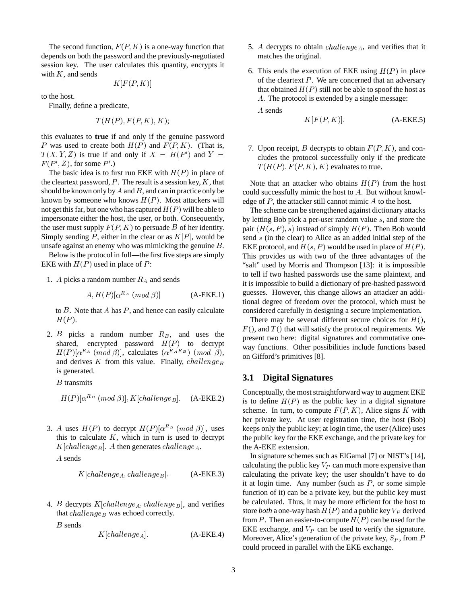The second function,  $F(P, K)$  is a one-way function that depends on both the password and the previously-negotiated session key. The user calculates this quantity, encrypts it with  $K$ , and sends

$$
K[F(P,K)]
$$

to the host.

Finally, define a predicate,

$$
T(H(P), F(P, K), K);
$$

this evaluates to **true** if and only if the genuine password P was used to create both  $H(P)$  and  $F(P, K)$ . (That is,  $T(X, Y, Z)$  is true if and only if  $X = H(P')$  and  $Y =$  $F(P', Z)$ , for some  $P'.$ 

The basic idea is to first run EKE with  $H(P)$  in place of the cleartext password, P. The result is a session key,  $K$ , that  $N<sub>0</sub>$ should be known only by  $A$  and  $B$ , and can in practice only be known by someone who knows  $H(P)$ . Most attackers will not get this far, but one who has captured  $H(P)$  will be able to impersonate either the host, the user, or both. Consequently, the user must supply  $F(P, K)$  to persuade B of her identity. Simply sending P, either in the clear or as  $K[P]$ , would be unsafe against an enemy who was mimicking the genuine  $B$ . EKE p

Below is the protocol in full—the first five steps are simply EKE with  $H(P)$  used in place of P:

1. A picks a random number  $R_A$  and sends

$$
A, H(P)[\alpha^{R_A} \pmod{\beta}] \qquad (A-EKE.1)
$$

to  $B$ . Note that  $A$  has  $P$ , and hence can easily calculate  $H(P)$ .

2. B picks a random number  $R_B$ , and uses the shared, encrypted password  $H(P)$  to decrypt  $H(P)[\alpha^{R_A} \pmod{\beta}]$ , calculates  $(\alpha^{R_A R_B}) \pmod{\beta}$ , not and derives K from this value. Finally,  $challenge_B$ is generated.

 $B$  transmits

$$
H(P)[\alpha^{R_B} \pmod{\beta}], K[challenge_B]. \quad (A-EKE.2)
$$

3. A uses  $H(P)$  to decrypt  $H(P)[\alpha^{R_B} \pmod{\beta}]$ , uses this to calculate  $K$ , which in turn is used to decrypt  $K[challenge_B]$ . A then generates  $challenge_A$ . A sends

$$
K[challenge_A, challenge_B]. \qquad (A-EKE.3)
$$

4. B decrypts  $K[challenge_A, challenge_B]$ , and verifies that  $challenge_B$  was echoed correctly.

 $B$  sends

 $K[challenge_A].$  (A-EKE.4)

- 5. A decrypts to obtain  $challenge_A$ , and verifies that it matches the original.
- 6. This ends the execution of EKE using  $H(P)$  in place of the cleartext  $P$ . We are concerned that an adversary that obtained  $H(P)$  still not be able to spoof the host as . The protocol is extended by a single message: A sends

$$
K[F(P, K)]. \t\t (A-EKE.5)
$$

7. Upon receipt, B decrypts to obtain  $F(P, K)$ , and concludes the protocol successfully only if the predicate  $T(H(P), F(P, K), K)$  evaluates to true.

Note that an attacker who obtains  $H(P)$  from the host could successfully mimic the host to  $A$ . But without knowledge of  $P$ , the attacker still cannot mimic  $A$  to the host.

The scheme can be strengthened against dictionary attacks by letting Bob pick a per-user random value  $\tilde{s}$ , and store the pair  $\langle H(s, P), s \rangle$  instead of simply  $H(P)$ . Then Bob would send  $s$  (in the clear) to Alice as an added initial step of the EKE protocol, and  $H(s, P)$  would be used in place of  $H(P)$ . This provides us with two of the three advantages of the "salt" used by Morris and Thompson [13]: it is impossible to tell if two hashed passwords use the same plaintext, and it is impossible to build a dictionary of pre-hashed password guesses. However, this change allows an attacker an additional degree of freedom over the protocol, which must be considered carefully in designing a secure implementation.

There may be several different secure choices for  $H()$ ,  $F()$ , and  $T()$  that will satisfy the protocol requirements. We present two here: digital signatures and commutative oneway functions. Other possibilities include functions based on Gifford's primitives [8].

## **3.1 Digital Signatures**

Conceptually, the most straightforward way to augment EKE is to define  $H(P)$  as the public key in a digital signature scheme. In turn, to compute  $F(P, K)$ , Alice signs K with her private key. At user registration time, the host (Bob) keeps only the public key; at login time, the user (Alice) uses the public key for the EKE exchange, and the private key for the A-EKE extension.

In signature schemes such as ElGamal [7] or NIST's [14], calculating the public key  $V_P$  can much more expensive than calculating the private key; the user shouldn't have to do it at login time. Any number (such as  $P$ , or some simple function of it) can be a private key, but the public key must be calculated. Thus, it may be more efficient for the host to store *both* a one-way hash  $H(P)$  and a public key  $V_P$  derived from P. Then an easier-to-compute  $H(P)$  can be used for the EKE exchange, and  $V_P$  can be used to verify the signature. Moreover, Alice's generation of the private key,  $S_P$ , from  $P$ could proceed in parallel with the EKE exchange.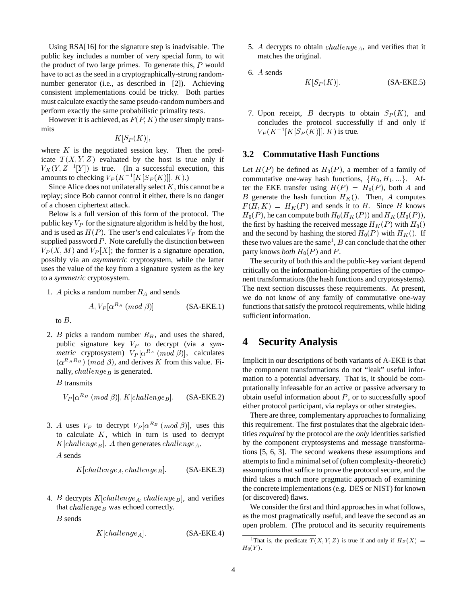Using RSA[16] for the signature step is inadvisable. The public\_ key includes a number of very special form, to wit the product of two large primes. To generate this,  $P$  would have to act as the seed in a cryptographically-strong randomnumber generator (i.e., as described in [2]). Achieving consistent implementations could be tricky. Both parties must calculate exactly the same pseudo-random numbers and perform exactly the same probabilistic primality tests.

However it is achieved, as  $F(P, K)$  the user simply transmits

 $K[S_P(K)],$ 

where  $K$  is the negotiated session key. Then the predicate  $T(X, Y, Z)$  evaluated by the host is true only if  $V_X(Y, Z^{-1}[Y])$  is true. (In a successful execution, this amounts to checking  $V_P(K^{-1}[K[S_P(K)]], K)$ .)

Since Alice does not unilaterally select  $K$ , this cannot be a replay; since Bob cannot control it either, there is no danger of a chosen ciphertext attack.

Below is a full version of this form of the protocol. The public key  $V_P$  for the signature algorithm is held by the host, and is used as  $H(P)$ . The user's end calculates  $V_P$  from the supplied password  $P$ . Note carefully the distinction between  $V_P(X, M)$  and  $V_P[X]$ ; the former is a signature operation, possibly via an *asymmetric* cryptosystem, while the latter uses the value of the key from a signature system as the key to a *symmetric* cryptosystem.

1. A picks a random number  $R_A$  and sends

$$
A, V_P[\alpha^{R_A} \ (mod \ \beta)] \qquad (SA-EKE.1)
$$

to  $B$ .

2. *B* picks a random number  $R_B$ , and uses the shared, public signature key  $V_P$  to decrypt (via a *symmetric* cryptosystem)  $V_P[\alpha^{R_A}(mod \beta)],$  calculates  $(\alpha^{R_A R_B})$  (*mod*  $\beta$ ), and derives K from this value. Finally,  $challenge_B$  is generated.

 $B$  transmits

 $V_P[\alpha^{R_B}\ (mod\ \beta)], K[challenge_B]. \hspace{0.5cm} \text{(SA-EKE.2)}$ 

3. A uses  $V_P$  to decrypt  $V_P[\alpha^{R_B}(mod \beta)]$ , uses this to calculate  $K$ , which in turn is used to decrypt  $K[challenge_B]$ . A then generates challenge<sub>A</sub>. A sends

$$
K[challenge_A, challenge_B]. \qquad (SA-EKE.3)
$$

4. *B* decrypts  $K[challenge_A, challenge_B]$ , and verifies that  $challenge_B$  was echoed correctly.

 $B$  sends

$$
K[challenge_A]. \t\t (SA-EKE.4)
$$

5. A decrypts to obtain  $challenge_A$ , and verifies that it matches the original.

```
6. 
sends
```

$$
K[S_P(K)]. \t\t(SA-EKE.5)
$$

7. Upon receipt, B decrypts to obtain  $S_P(K)$ , and concludes the protocol successfully if and only if  $V_P(K^{-1}[K[S_P(K)]], K)$  is true.

#### **3.2 Commutative Hash Functions**

Let  $H(P)$  be defined as  $H_0(P)$ , a member of a family of commutative one-way hash functions,  $\{H_0, H_1, ...\}$ . After the EKE transfer using  $H(P) = H_0(P)$ , both A and B generate the hash function  $H_K()$ . Then, A computes  $F(H,K) = H_K(P)$  and sends it to B. Since B knows  $H_0(P)$ , he can compute both  $H_0(H_K(P))$  and  $H_K(H_0(P)),$ the first by hashing the received message  $H_K(P)$  with  $H_0()$ and the second by hashing the stored  $H_0(P)$  with  $H_K()$ . If these two values are the same<sup>1</sup>,  $B$  can conclude that the other party knows *both*  $H_0(P)$  and P.

The security of both this and the public-key variant depend critically on the information-hiding properties of the component transformations (the hash functions and cryptosystems). The next section discusses these requirements. At present, we do not know of any family of commutative one-way functions that satisfy the protocol requirements, while hiding sufficient information.

# **4 Security Analysis**

Implicit in our descriptions of both variants of A-EKE is that the component transformations do not "leak" useful information to a potential adversary. That is, it should be computationally infeasable for an active or passive adversary to obtain useful information about  $P$ , or to successfully spoof either protocol participant, via replays or other strategies.

There are three, complementary approaches to formalizing this requirement. The first postulates that the algebraic identities *required* by the protocol are the *only* identities satisfied by the component cryptosystems and message transformations [5, 6, 3]. The second weakens these assumptions and attempts to find a minimal set of (often complexity-theoretic) assumptions that suffice to prove the protocol secure, and the third takes a much more pragmatic approach of examining the concrete implementations(e.g. DES or NIST) for known (or discovered) flaws.

We consider the first and third approaches in what follows, as the most pragmatically useful, and leave the second as an open problem. (The protocol and its security requirements

<sup>&</sup>lt;sup>1</sup>That is, the predicate  $T(X, Y, Z)$  is true if and only if  $H_Z(X)$  =  $H_0(Y)$ .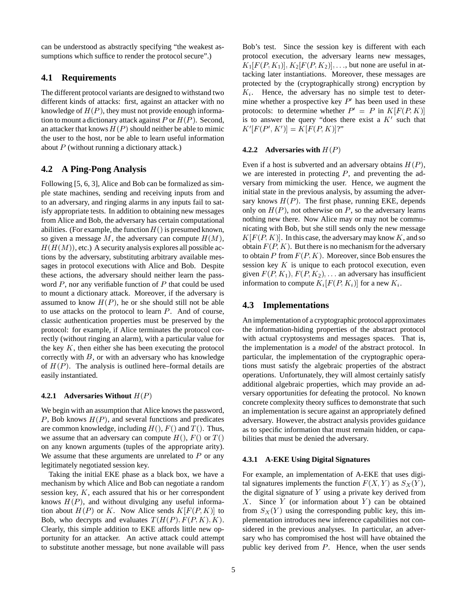can be understood as abstractly specifying "the weakest assumptions which suffice to render the protocol secure".)

## **4.1 Requirements**

The different protocol variants are designed to withstand two different kinds of attacks: first, against an attacker with no knowledge of  $H(P)$ , they must not provide enough information to mount a dictionary attack against P or  $H(P)$ . Second, an attacker that knows  $H(P)$  should neither be able to mimic the user to the host, nor be able to learn useful information about  $P$  (without running a dictionary attack.)

## **4.2 A Ping-Pong Analysis**

Following [5, 6, 3], Alice and Bob can be formalized as simple state machines, sending and receiving inputs from and to an adversary, and ringing alarms in any inputs fail to satisfy appropriate tests. In addition to obtaining new messages from Alice and Bob, the adversary has certain computational abilities. (For example, the function  $H()$  is presumed known, so given a message M, the adversary can compute  $H(M)$ ,  $H(H(M))$ , etc.) A security analysis explores all possible actions by the adversary, substituting arbitrary available messages in protocol executions with Alice and Bob. Despite these actions, the adversary should neither learn the password  $P$ , nor any verifiable function of  $P$  that could be used to mount a dictionary attack. Moreover, if the adversary is assumed to know  $H(P)$ , he or she should still not be able to use attacks on the protocol to learn  $P$ . And of course, classic authentication properties must be preserved by the protocol: for example, if Alice terminates the protocol correctly (without ringing an alarm), with a particular value for the key  $K$ , then either she has been executing the protocol correctly with  $B$ , or with an adversary who has knowledge of  $H(P)$ . The analysis is outlined here–formal details are easily instantiated.

#### **4.2.1 Adversaries Without**  $H(P)$

We begin with an assumption that Alice knows the password, P, Bob knows  $H(P)$ , and several functions and predicates are common knowledge, including  $H()$ ,  $F()$  and  $T()$ . Thus, we assume that an adversary can compute  $H($ ),  $F($ ) or  $T($ ) on any known arguments (tuples of the appropriate arity). We assume that these arguments are unrelated to  $P$  or any legitimately negotiated session key.

Taking the initial EKE phase as a black box, we have a mechanism by which Alice and Bob can negotiate a random session key,  $K$ , each assured that his or her correspondent knows  $H(P)$ , and without divulging any useful information about  $H(P)$  or K. Now Alice sends  $K[F(P, K)]$  to Bob, who decrypts and evaluates  $T(H(P), F(P, K), K)$ . Clearly, this simple addition to EKE affords little new opportunity for an attacker. An active attack could attempt to substitute another message, but none available will pass

Bob's test. Since the session key is different with each protocol execution, the adversary learns new messages,  $K_1[F(P, K_1)], K_2[F(P, K_2)], \ldots$ , but none are useful in attacking later instantiations. Moreover, these messages are protected by the (cryptographically strong) encryption by  $K_i$ . Hence, the adversary has no simple test to determine whether a prospective key  $P'$  has been used in these protocols: to determine whether  $P' = P$  in  $K[F(P, K)]$ is to answer the query "does there exist a  $K'$  such that  $K'[F(P', K')] = K[F(P, K)]$ ?"

#### **4.2.2 Adversaries** with  $H(P)$

Even if a host is subverted and an adversary obtains  $H(P)$ , we are interested in protecting  $P$ , and preventing the adversary from mimicking the user. Hence, we augment the initial state in the previous analysis, by assuming the adversary knows  $H(P)$ . The first phase, running EKE, depends only on  $H(P)$ , not otherwise on P, so the adversary learns nothing new there. Now Alice may or may not be communicating with Bob, but she still sends only the new message  $K[F(P, K)]$ . In this case, the adversary may know K, and so obtain  $F(P, K)$ . But there is no mechanism for the adversary to obtain P from  $F(P, K)$ . Moreover, since Bob ensures the session key  $K$  is unique to each protocol execution, even given  $F(P, K_1), F(P, K_2), \ldots$  an adversary has insufficient information to compute  $K_i[F(P, K_i)]$  for a new  $K_i$ .

#### **4.3 Implementations**

An implementation of a cryptographic protocol approximates the information-hiding properties of the abstract protocol with actual cryptosystems and messages spaces. That is, the implementation is a *model* of the abstract protocol. In particular, the implementation of the cryptographic operations must satisfy the algebraic properties of the abstract operations. Unfortunately, they will almost certainly satisfy additional algebraic properties, which may provide an adversary opportunities for defeating the protocol. No known concrete complexity theory suffices to demonstrate that such an implementation is secure against an appropriately defined adversary. However, the abstract analysis provides guidance as to specific information that must remain hidden, or capabilities that must be denied the adversary.

#### **4.3.1 A-EKE Using Digital Signatures**

For example, an implementation of A-EKE that uses digital signatures implements the function  $F(X, Y)$  as  $S_X(Y)$ , the digital signature of  $Y$  using a private key derived from  $X$ . Since  $Y$  (or information about  $Y$ ) can be obtained from  $S_X(Y)$  using the corresponding public key, this implementation introduces new inference capabilities not considered in the previous analyses. In particular, an adversary who has compromised the host will have obtained the public key derived from  $P$ . Hence, when the user sends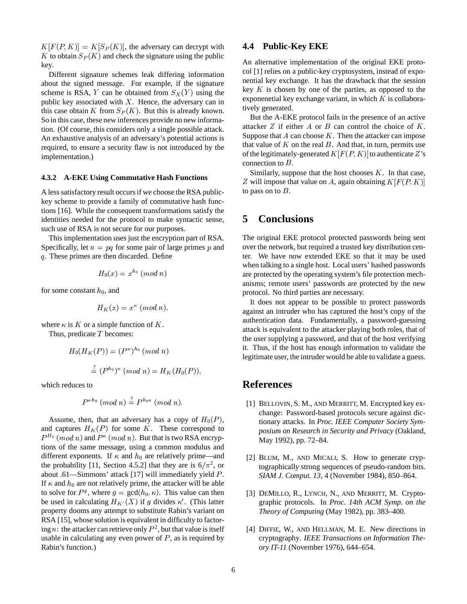$K[F(P, K)] = K[S_P(K)]$ , the adversary can decrypt with K to obtain  $S_P(K)$  and check the signature using the public key.

Different signature schemes leak differing information about the signed message. For example, if the signature scheme is RSA, Y can be obtained from  $S_X(Y)$  using the public key associated with  $X$ . Hence, the adversary can in this case obtain K from  $S_P(K)$ . But this is already known. So in this case, these new inferences provide no new information. (Of course, this considers only a single possible attack. An exhaustive analysis of an adversary's potential actions is required, to ensure a security flaw is not introduced by the implementation.)

#### **4.3.2 A-EKE Using Commutative Hash Functions**

A less satisfactory result occurs if we choose the RSA publickey scheme to provide a family of commutative hash functions [16]. While the consequent transformations satisfy the identities needed for the protocol to make syntactic sense, such use of RSA is not secure for our purposes.

This implementation uses just the encryption part of RSA. Specifically, let  $n = pq$  for some pair of large primes p and . These primes are then discarded. Define

$$
H_0(x) = x^{h_0} (mod\ n)
$$

for some constant  $h_0$ , and

$$
H_K(x) = x^{\kappa} \pmod{n},
$$

where  $\kappa$  is K or a simple function of K.

Thus, predicate  $T$  becomes:

$$
H_0(H_K(P)) = (P^{\kappa})^{h_0} (mod\ n)
$$
  

$$
\stackrel{?}{=} (P^{h_0})^{\kappa} (mod\ n) = H_K(H_0(P)),
$$

which reduces to

$$
P^{\kappa h_0}~(mod~n) \stackrel{?}{=} P^{h_0\kappa}~(mod~n).
$$

Assume, then, that an adversary has a copy of  $H_0(P)$ , and captures  $H_K(P)$  for some K. These correspond to  $P^{H_0}$  (*mod n*) and  $P^{\kappa}$  (*mod n*). But that is two RSA encryptions of the same message, using a common modulus and different exponents. If  $\kappa$  and  $h_0$  are relatively prime—and the probability [11, Section 4.5.2] that they are is  $6/\pi^2$ , or about .61—Simmons' attack [17] will immediately yield  $P$ . If  $\kappa$  and  $h_0$  are not relatively prime, the attacker will be able to solve for  $P^g$ , where  $g = \gcd(h_0, \kappa)$ . This value can then be used in calculating  $H_{K'}(X)$  if g divides  $\kappa'$ . (This latter property dooms any attempt to substitute Rabin's variant on RSA [15], whose solution is equivalent in difficulty to factoring *n*: the attacker can retrieve only  $P^2$ , but that value is itself usable in calculating any even power of  $P$ , as is required by Rabin's function.)

## **4.4 Public-Key EKE**

An alternative implementation of the original EKE protocol [1] relies on a public-key cryptosystem, instead of exponential key exchange. It has the drawback that the session key  $K$  is chosen by one of the parties, as opposed to the exponenetial key exchange variant, in which  $K$  is collaboratively generated.

But the A-EKE protocol fails in the presence of an active attacker  $Z$  if either  $A$  or  $B$  can control the choice of  $K$ . Suppose that  $A$  can choose  $K$ . Then the attacker can impose that value of  $K$  on the real  $B$ . And that, in turn, permits use of the legitimately-generated  $K[F(P, K)]$  to authenticate  $Z$ 's connection to  $B$ .

Similarly, suppose that the host chooses  $K$ . In that case, Z will impose that value on A, again obtaining  $K[F(P, K)]$ to pass on to  $B$ .

# **5 Conclusions**

The original EKE protocol protected passwords being sent over the network, but required a trusted key distribution center. We have now extended EKE so that it may be used when talking to a single host. Local users' hashed passwords are protected by the operating system's file protection mechanisms; remote users' passwords are protected by the new protocol. No third parties are necessary.

It does not appear to be possible to protect passwords against an intruder who has captured the host's copy of the authentication data. Fundamentally, a password-guessing attack is equivalent to the attacker playing both roles, that of the user supplying a password, and that of the host verifying it. Thus, if the host has enough information to validate the legitimate user, the intruder would be able to validate a guess.

# **References**

- [1] BELLOVIN,S. M., AND MERRITT, M. Encrypted key exchange: Password-based protocols secure against dictionary attacks. In *Proc. IEEE Computer Society Symposium on Research in Security and Privacy* (Oakland, May 1992), pp. 72–84.
- [2] BLUM, M., AND MICALI, S. How to generate cryptographically strong sequences of pseudo-random bits. *SIAM J. Comput. 13*, 4 (November 1984), 850–864.
- [3] DEMILLO, R., LYNCH, N., AND MERRITT, M. Cryptographic protocols. In *Proc. 14th ACM Symp. on the Theory of Computing* (May 1982), pp. 383–400.
- [4] DIFFIE, W., AND HELLMAN, M. E. New directions in cryptography. *IEEE Transactions on Information Theory IT-11* (November 1976), 644–654.